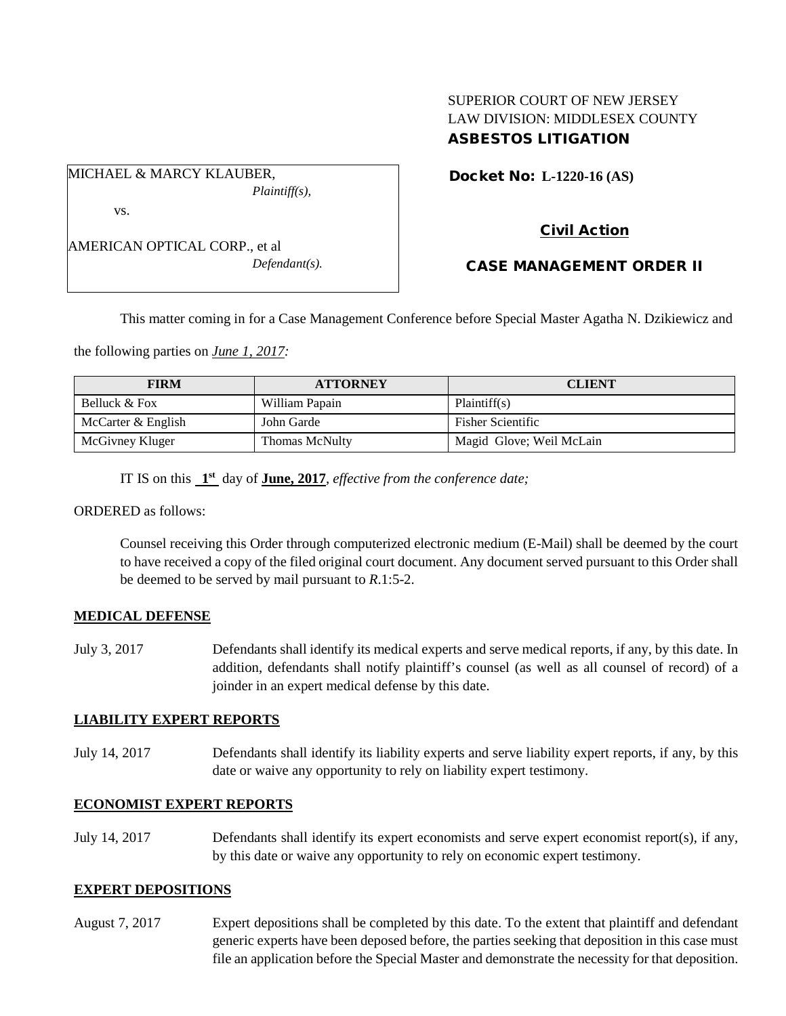## SUPERIOR COURT OF NEW JERSEY LAW DIVISION: MIDDLESEX COUNTY ASBESTOS LITIGATION

Docket No: **L-1220-16 (AS)** 

*Plaintiff(s),*

| AMERICAN OPTICAL CORP., et al |
|-------------------------------|
| $Defendant(s)$ .              |

MICHAEL & MARCY KLAUBER,

vs.

## Civil Action

## CASE MANAGEMENT ORDER II

This matter coming in for a Case Management Conference before Special Master Agatha N. Dzikiewicz and

the following parties on *June 1, 2017:*

| <b>FIRM</b>        | <b>ATTORNEY</b> | <b>CLIENT</b>            |
|--------------------|-----------------|--------------------------|
| Belluck & Fox      | William Papain  | Plaintiff(s)             |
| McCarter & English | John Garde      | <b>Fisher Scientific</b> |
| McGivney Kluger    | Thomas McNulty  | Magid Glove; Weil McLain |

IT IS on this **1st** day of **June, 2017**, *effective from the conference date;*

ORDERED as follows:

Counsel receiving this Order through computerized electronic medium (E-Mail) shall be deemed by the court to have received a copy of the filed original court document. Any document served pursuant to this Order shall be deemed to be served by mail pursuant to *R*.1:5-2.

#### **MEDICAL DEFENSE**

July 3, 2017 Defendants shall identify its medical experts and serve medical reports, if any, by this date. In addition, defendants shall notify plaintiff's counsel (as well as all counsel of record) of a joinder in an expert medical defense by this date.

#### **LIABILITY EXPERT REPORTS**

July 14, 2017 Defendants shall identify its liability experts and serve liability expert reports, if any, by this date or waive any opportunity to rely on liability expert testimony.

#### **ECONOMIST EXPERT REPORTS**

July 14, 2017 Defendants shall identify its expert economists and serve expert economist report(s), if any, by this date or waive any opportunity to rely on economic expert testimony.

### **EXPERT DEPOSITIONS**

August 7, 2017 Expert depositions shall be completed by this date. To the extent that plaintiff and defendant generic experts have been deposed before, the parties seeking that deposition in this case must file an application before the Special Master and demonstrate the necessity for that deposition.